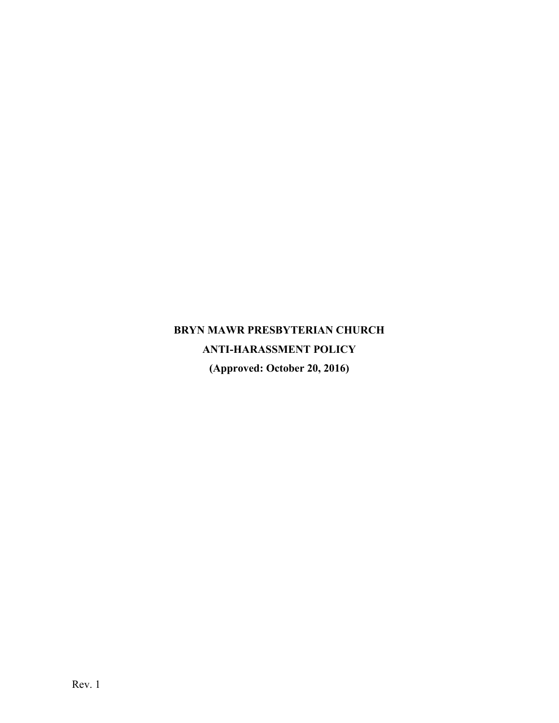# **BRYN MAWR PRESBYTERIAN CHURCH ANTI-HARASSMENT POLICY (Approved: October 20, 2016)**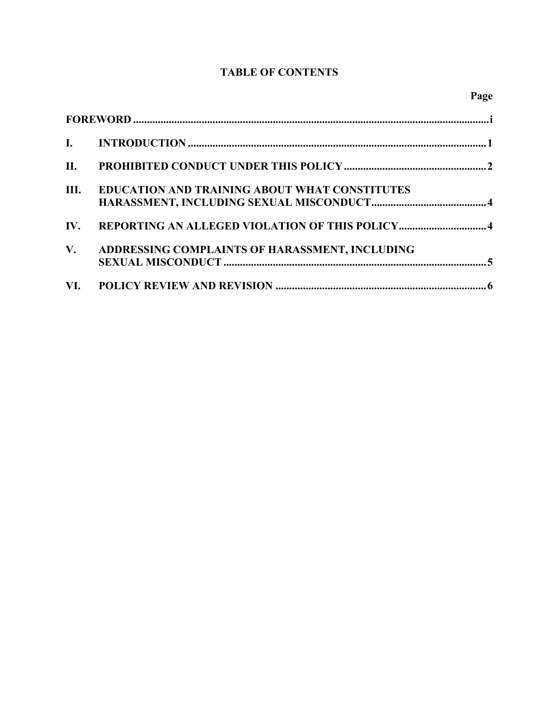### **TABLE OF CONTENTS**

| II.         |                                                      |
|-------------|------------------------------------------------------|
| Ш.          | <b>EDUCATION AND TRAINING ABOUT WHAT CONSTITUTES</b> |
| IV.         |                                                      |
| $V_{\star}$ | ADDRESSING COMPLAINTS OF HARASSMENT, INCLUDING       |
|             |                                                      |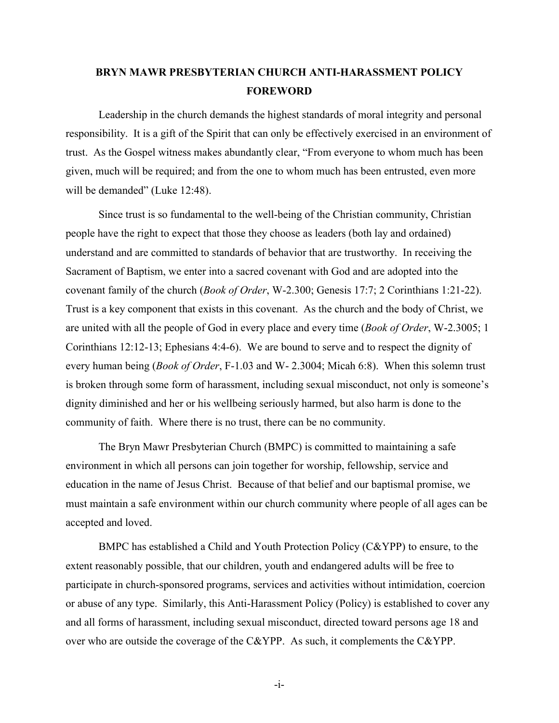## <span id="page-2-0"></span>**BRYN MAWR PRESBYTERIAN CHURCH ANTI-HARASSMENT POLICY FOREWORD**

Leadership in the church demands the highest standards of moral integrity and personal responsibility. It is a gift of the Spirit that can only be effectively exercised in an environment of trust. As the Gospel witness makes abundantly clear, "From everyone to whom much has been given, much will be required; and from the one to whom much has been entrusted, even more will be demanded" (Luke 12:48).

Since trust is so fundamental to the well-being of the Christian community, Christian people have the right to expect that those they choose as leaders (both lay and ordained) understand and are committed to standards of behavior that are trustworthy. In receiving the Sacrament of Baptism, we enter into a sacred covenant with God and are adopted into the covenant family of the church (*Book of Order*, W-2.300; Genesis 17:7; 2 Corinthians 1:21-22). Trust is a key component that exists in this covenant. As the church and the body of Christ, we are united with all the people of God in every place and every time (*Book of Order*, W-2.3005; 1 Corinthians 12:12-13; Ephesians 4:4-6). We are bound to serve and to respect the dignity of every human being (*Book of Order*, F-1.03 and W- 2.3004; Micah 6:8). When this solemn trust is broken through some form of harassment, including sexual misconduct, not only is someone's dignity diminished and her or his wellbeing seriously harmed, but also harm is done to the community of faith. Where there is no trust, there can be no community.

The Bryn Mawr Presbyterian Church (BMPC) is committed to maintaining a safe environment in which all persons can join together for worship, fellowship, service and education in the name of Jesus Christ. Because of that belief and our baptismal promise, we must maintain a safe environment within our church community where people of all ages can be accepted and loved.

BMPC has established a Child and Youth Protection Policy (C&YPP) to ensure, to the extent reasonably possible, that our children, youth and endangered adults will be free to participate in church-sponsored programs, services and activities without intimidation, coercion or abuse of any type. Similarly, this Anti-Harassment Policy (Policy) is established to cover any and all forms of harassment, including sexual misconduct, directed toward persons age 18 and over who are outside the coverage of the C&YPP. As such, it complements the C&YPP.

-i-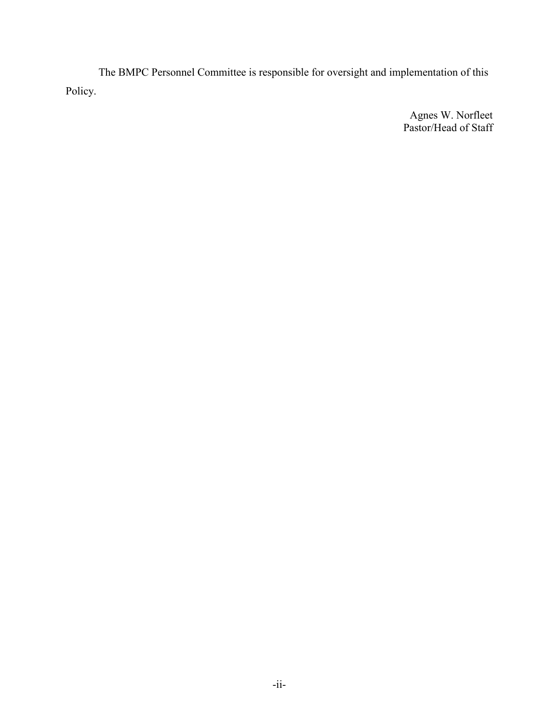The BMPC Personnel Committee is responsible for oversight and implementation of this Policy.

> Agnes W. Norfleet Pastor/Head of Staff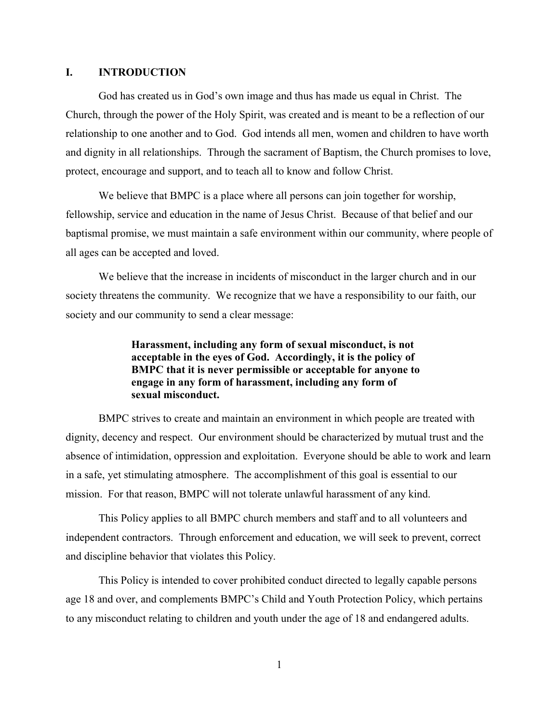#### <span id="page-4-0"></span>**I. INTRODUCTION**

God has created us in God's own image and thus has made us equal in Christ. The Church, through the power of the Holy Spirit, was created and is meant to be a reflection of our relationship to one another and to God. God intends all men, women and children to have worth and dignity in all relationships. Through the sacrament of Baptism, the Church promises to love, protect, encourage and support, and to teach all to know and follow Christ.

We believe that BMPC is a place where all persons can join together for worship, fellowship, service and education in the name of Jesus Christ. Because of that belief and our baptismal promise, we must maintain a safe environment within our community, where people of all ages can be accepted and loved.

We believe that the increase in incidents of misconduct in the larger church and in our society threatens the community. We recognize that we have a responsibility to our faith, our society and our community to send a clear message:

> **Harassment, including any form of sexual misconduct, is not acceptable in the eyes of God. Accordingly, it is the policy of BMPC that it is never permissible or acceptable for anyone to engage in any form of harassment, including any form of sexual misconduct.**

BMPC strives to create and maintain an environment in which people are treated with dignity, decency and respect. Our environment should be characterized by mutual trust and the absence of intimidation, oppression and exploitation. Everyone should be able to work and learn in a safe, yet stimulating atmosphere. The accomplishment of this goal is essential to our mission. For that reason, BMPC will not tolerate unlawful harassment of any kind.

This Policy applies to all BMPC church members and staff and to all volunteers and independent contractors. Through enforcement and education, we will seek to prevent, correct and discipline behavior that violates this Policy.

This Policy is intended to cover prohibited conduct directed to legally capable persons age 18 and over, and complements BMPC's Child and Youth Protection Policy, which pertains to any misconduct relating to children and youth under the age of 18 and endangered adults.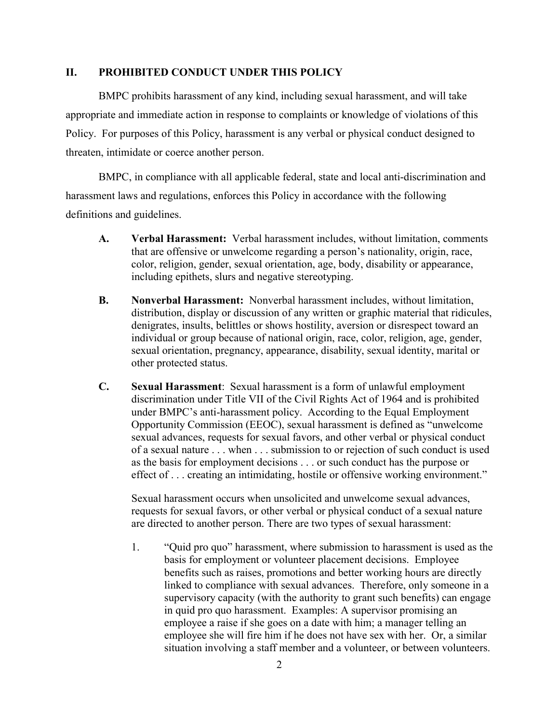#### **II. PROHIBITED CONDUCT UNDER THIS POLICY**

BMPC prohibits harassment of any kind, including sexual harassment, and will take appropriate and immediate action in response to complaints or knowledge of violations of this Policy. For purposes of this Policy, harassment is any verbal or physical conduct designed to threaten, intimidate or coerce another person.

BMPC, in compliance with all applicable federal, state and local anti-discrimination and harassment laws and regulations, enforces this Policy in accordance with the following definitions and guidelines.

- **A. Verbal Harassment:** Verbal harassment includes, without limitation, comments that are offensive or unwelcome regarding a person's nationality, origin, race, color, religion, gender, sexual orientation, age, body, disability or appearance, including epithets, slurs and negative stereotyping.
- **B. Nonverbal Harassment:** Nonverbal harassment includes, without limitation, distribution, display or discussion of any written or graphic material that ridicules, denigrates, insults, belittles or shows hostility, aversion or disrespect toward an individual or group because of national origin, race, color, religion, age, gender, sexual orientation, pregnancy, appearance, disability, sexual identity, marital or other protected status.
- **C. Sexual Harassment**: Sexual harassment is a form of unlawful employment discrimination under Title VII of the Civil Rights Act of 1964 and is prohibited under BMPC's anti-harassment policy. According to the Equal Employment Opportunity Commission (EEOC), sexual harassment is defined as "unwelcome sexual advances, requests for sexual favors, and other verbal or physical conduct of a sexual nature . . . when . . . submission to or rejection of such conduct is used as the basis for employment decisions . . . or such conduct has the purpose or effect of . . . creating an intimidating, hostile or offensive working environment."

Sexual harassment occurs when unsolicited and unwelcome sexual advances, requests for sexual favors, or other verbal or physical conduct of a sexual nature are directed to another person. There are two types of sexual harassment:

<span id="page-5-0"></span>1. "Quid pro quo" harassment, where submission to harassment is used as the basis for employment or volunteer placement decisions. Employee benefits such as raises, promotions and better working hours are directly linked to compliance with sexual advances. Therefore, only someone in a supervisory capacity (with the authority to grant such benefits) can engage in quid pro quo harassment. Examples: A supervisor promising an employee a raise if she goes on a date with him; a manager telling an employee she will fire him if he does not have sex with her. Or, a similar situation involving a staff member and a volunteer, or between volunteers.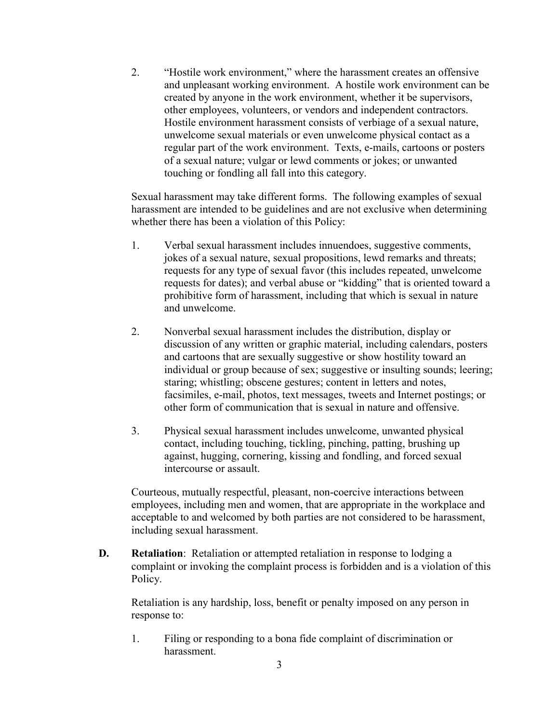2. "Hostile work environment," where the harassment creates an offensive and unpleasant working environment. A hostile work environment can be created by anyone in the work environment, whether it be supervisors, other employees, volunteers, or vendors and independent contractors. Hostile environment harassment consists of verbiage of a sexual nature, unwelcome sexual materials or even unwelcome physical contact as a regular part of the work environment. Texts, e-mails, cartoons or posters of a sexual nature; vulgar or lewd comments or jokes; or unwanted touching or fondling all fall into this category.

Sexual harassment may take different forms. The following examples of sexual harassment are intended to be guidelines and are not exclusive when determining whether there has been a violation of this Policy:

- 1. Verbal sexual harassment includes innuendoes, suggestive comments, jokes of a sexual nature, sexual propositions, lewd remarks and threats; requests for any type of sexual favor (this includes repeated, unwelcome requests for dates); and verbal abuse or "kidding" that is oriented toward a prohibitive form of harassment, including that which is sexual in nature and unwelcome.
- 2. Nonverbal sexual harassment includes the distribution, display or discussion of any written or graphic material, including calendars, posters and cartoons that are sexually suggestive or show hostility toward an individual or group because of sex; suggestive or insulting sounds; leering; staring; whistling; obscene gestures; content in letters and notes, facsimiles, e-mail, photos, text messages, tweets and Internet postings; or other form of communication that is sexual in nature and offensive.
- 3. Physical sexual harassment includes unwelcome, unwanted physical contact, including touching, tickling, pinching, patting, brushing up against, hugging, cornering, kissing and fondling, and forced sexual intercourse or assault.

Courteous, mutually respectful, pleasant, non-coercive interactions between employees, including men and women, that are appropriate in the workplace and acceptable to and welcomed by both parties are not considered to be harassment, including sexual harassment.

**D. Retaliation**: Retaliation or attempted retaliation in response to lodging a complaint or invoking the complaint process is forbidden and is a violation of this Policy.

Retaliation is any hardship, loss, benefit or penalty imposed on any person in response to:

1. Filing or responding to a bona fide complaint of discrimination or harassment.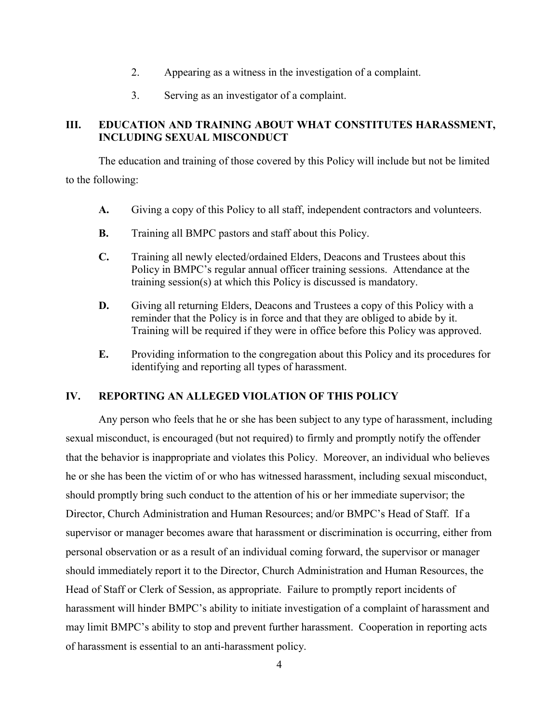- 2. Appearing as a witness in the investigation of a complaint.
- <span id="page-7-0"></span>3. Serving as an investigator of a complaint.

#### **III. EDUCATION AND TRAINING ABOUT WHAT CONSTITUTES HARASSMENT, INCLUDING SEXUAL MISCONDUCT**

The education and training of those covered by this Policy will include but not be limited to the following:

- **A.** Giving a copy of this Policy to all staff, independent contractors and volunteers.
- **B.** Training all BMPC pastors and staff about this Policy.
- **C.** Training all newly elected/ordained Elders, Deacons and Trustees about this Policy in BMPC's regular annual officer training sessions. Attendance at the training session(s) at which this Policy is discussed is mandatory.
- **D.** Giving all returning Elders, Deacons and Trustees a copy of this Policy with a reminder that the Policy is in force and that they are obliged to abide by it. Training will be required if they were in office before this Policy was approved.
- **E.** Providing information to the congregation about this Policy and its procedures for identifying and reporting all types of harassment.

#### **IV. REPORTING AN ALLEGED VIOLATION OF THIS POLICY**

Any person who feels that he or she has been subject to any type of harassment, including sexual misconduct, is encouraged (but not required) to firmly and promptly notify the offender that the behavior is inappropriate and violates this Policy. Moreover, an individual who believes he or she has been the victim of or who has witnessed harassment, including sexual misconduct, should promptly bring such conduct to the attention of his or her immediate supervisor; the Director, Church Administration and Human Resources; and/or BMPC's Head of Staff. If a supervisor or manager becomes aware that harassment or discrimination is occurring, either from personal observation or as a result of an individual coming forward, the supervisor or manager should immediately report it to the Director, Church Administration and Human Resources, the Head of Staff or Clerk of Session, as appropriate. Failure to promptly report incidents of harassment will hinder BMPC's ability to initiate investigation of a complaint of harassment and may limit BMPC's ability to stop and prevent further harassment. Cooperation in reporting acts of harassment is essential to an anti-harassment policy.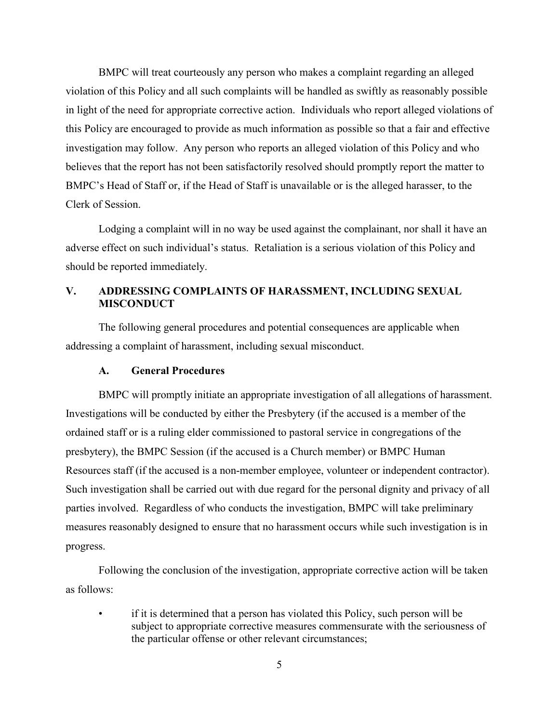BMPC will treat courteously any person who makes a complaint regarding an alleged violation of this Policy and all such complaints will be handled as swiftly as reasonably possible in light of the need for appropriate corrective action. Individuals who report alleged violations of this Policy are encouraged to provide as much information as possible so that a fair and effective investigation may follow. Any person who reports an alleged violation of this Policy and who believes that the report has not been satisfactorily resolved should promptly report the matter to BMPC's Head of Staff or, if the Head of Staff is unavailable or is the alleged harasser, to the Clerk of Session.

Lodging a complaint will in no way be used against the complainant, nor shall it have an adverse effect on such individual's status. Retaliation is a serious violation of this Policy and should be reported immediately.

#### <span id="page-8-0"></span>**V. ADDRESSING COMPLAINTS OF HARASSMENT, INCLUDING SEXUAL MISCONDUCT**

The following general procedures and potential consequences are applicable when addressing a complaint of harassment, including sexual misconduct.

#### **A. General Procedures**

BMPC will promptly initiate an appropriate investigation of all allegations of harassment. Investigations will be conducted by either the Presbytery (if the accused is a member of the ordained staff or is a ruling elder commissioned to pastoral service in congregations of the presbytery), the BMPC Session (if the accused is a Church member) or BMPC Human Resources staff (if the accused is a non-member employee, volunteer or independent contractor). Such investigation shall be carried out with due regard for the personal dignity and privacy of all parties involved. Regardless of who conducts the investigation, BMPC will take preliminary measures reasonably designed to ensure that no harassment occurs while such investigation is in progress.

Following the conclusion of the investigation, appropriate corrective action will be taken as follows:

• if it is determined that a person has violated this Policy, such person will be subject to appropriate corrective measures commensurate with the seriousness of the particular offense or other relevant circumstances;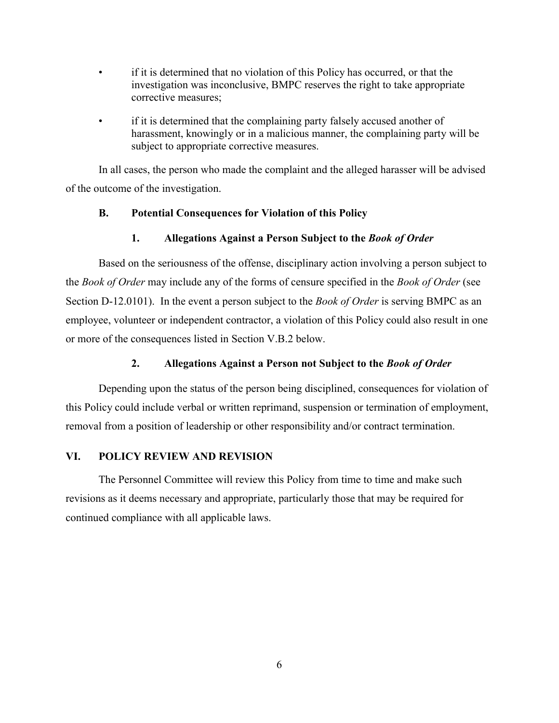- if it is determined that no violation of this Policy has occurred, or that the investigation was inconclusive, BMPC reserves the right to take appropriate corrective measures;
- if it is determined that the complaining party falsely accused another of harassment, knowingly or in a malicious manner, the complaining party will be subject to appropriate corrective measures.

In all cases, the person who made the complaint and the alleged harasser will be advised of the outcome of the investigation.

#### **B. Potential Consequences for Violation of this Policy**

#### **1. Allegations Against a Person Subject to the** *Book of Order*

Based on the seriousness of the offense, disciplinary action involving a person subject to the *Book of Order* may include any of the forms of censure specified in the *Book of Order* (see Section D-12.0101). In the event a person subject to the *Book of Order* is serving BMPC as an employee, volunteer or independent contractor, a violation of this Policy could also result in one or more of the consequences listed in Section V.B.2 below.

#### **2. Allegations Against a Person not Subject to the** *Book of Order*

Depending upon the status of the person being disciplined, consequences for violation of this Policy could include verbal or written reprimand, suspension or termination of employment, removal from a position of leadership or other responsibility and/or contract termination.

#### **VI. POLICY REVIEW AND REVISION**

The Personnel Committee will review this Policy from time to time and make such revisions as it deems necessary and appropriate, particularly those that may be required for continued compliance with all applicable laws.